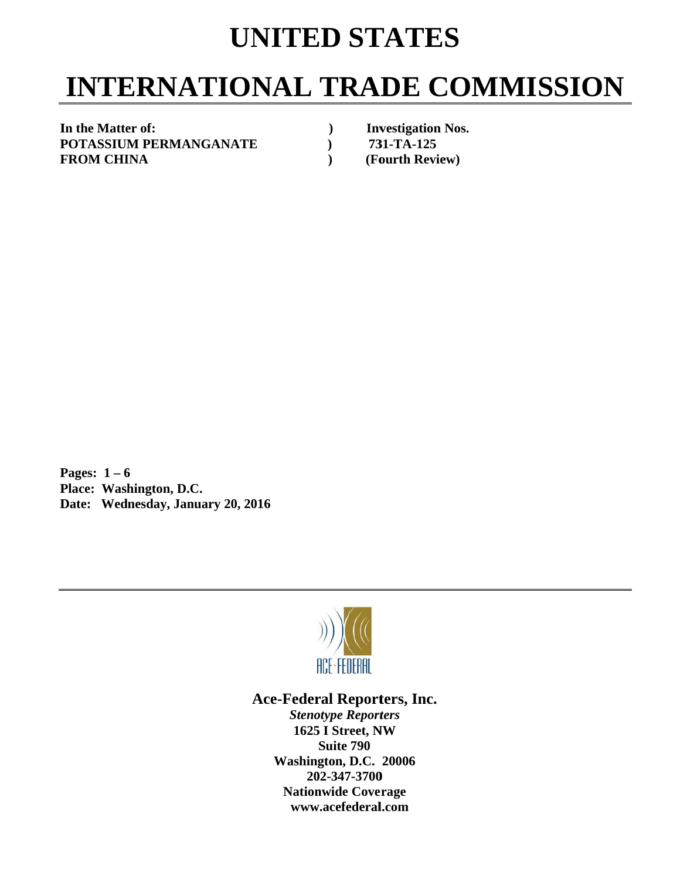## **UNITED STATES**

# **INTERNATIONAL TRADE COMMISSION**

In the Matter of: **POTASSIUM PERMANGANATE F FROM CHI INA** 

*(a)* Investigation Nos.  **) 73 31-TA-125 (Fourth Review)** 

**P Pages: 1 – 6 P Place: Was hington, D.C C.**  Date: Wednesday, January 20, 2016



#### Ace-Federal Reporters, Inc.

**Stenotype Reporters 1625 I Street, NW Washin gton, D.C. 20006 20 02-347-3700** 202-347-3700<br>Nationwide Coverage **www w.acefederal l.com Suite 790**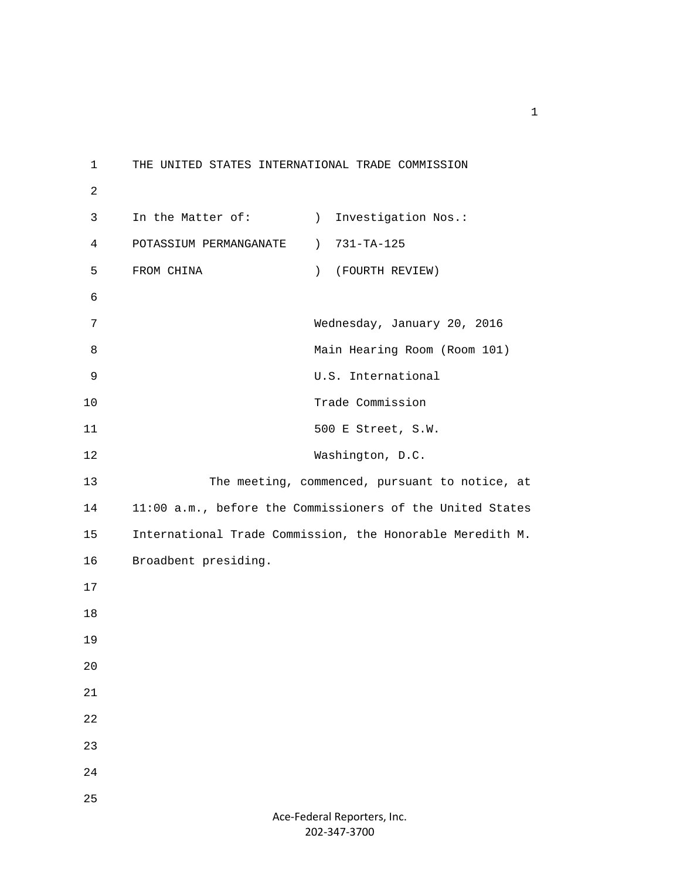1 THE UNITED STATES INTERNATIONAL TRADE COMMISSION 2 3 In the Matter of: (a) Investigation Nos.: 4 POTASSIUM PERMANGANATE ) 731-TA-125 5 FROM CHINA ) (FOURTH REVIEW) 6 7 Wednesday, January 20, 2016 8 Main Hearing Room (Room 101) 9 U.S. International 10 Trade Commission 11 500 E Street, S.W. 12 Washington, D.C. 13 The meeting, commenced, pursuant to notice, at 14 11:00 a.m., before the Commissioners of the United States 15 International Trade Commission, the Honorable Meredith M. 16 Broadbent presiding. 17 18 19 20 21 22 23 24 25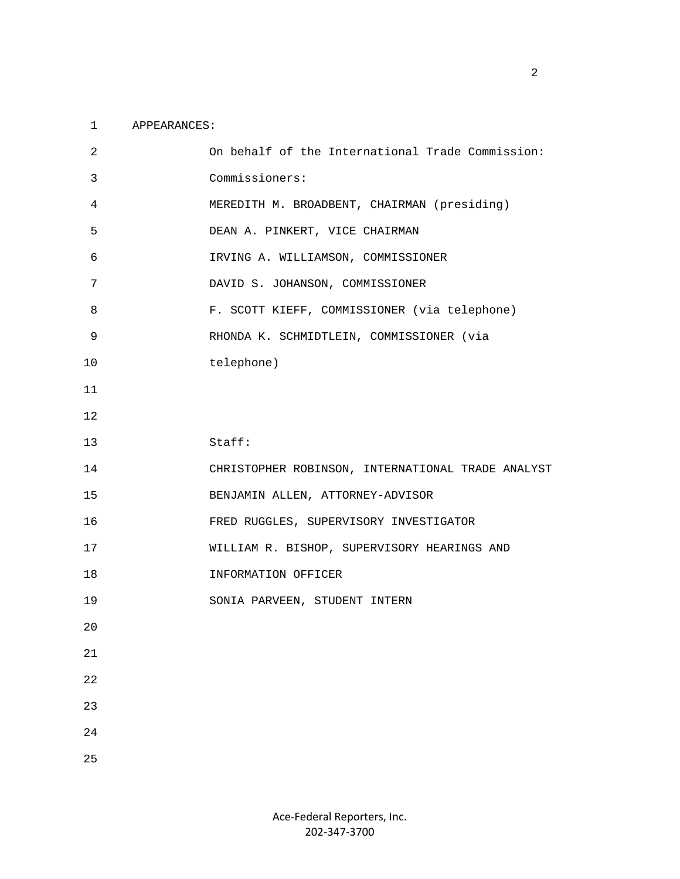#### 1 APPEARANCES:

| $\overline{2}$ | On behalf of the International Trade Commission:  |
|----------------|---------------------------------------------------|
| 3              | Commissioners:                                    |
| $\overline{4}$ | MEREDITH M. BROADBENT, CHAIRMAN (presiding)       |
| 5              | DEAN A. PINKERT, VICE CHAIRMAN                    |
| 6              | IRVING A. WILLIAMSON, COMMISSIONER                |
| 7              | DAVID S. JOHANSON, COMMISSIONER                   |
| 8              | F. SCOTT KIEFF, COMMISSIONER (via telephone)      |
| 9              | RHONDA K. SCHMIDTLEIN, COMMISSIONER (via          |
| 10             | telephone)                                        |
| 11             |                                                   |
| 12             |                                                   |
| 13             | Staff:                                            |
| 14             | CHRISTOPHER ROBINSON, INTERNATIONAL TRADE ANALYST |
| 15             | BENJAMIN ALLEN, ATTORNEY-ADVISOR                  |
| 16             | FRED RUGGLES, SUPERVISORY INVESTIGATOR            |
| 17             |                                                   |
|                | WILLIAM R. BISHOP, SUPERVISORY HEARINGS AND       |
| 18             | INFORMATION OFFICER                               |
| 19             | SONIA PARVEEN, STUDENT INTERN                     |
| 20             |                                                   |
| $2\sqrt{1}$    |                                                   |
| 22             |                                                   |
| 23             |                                                   |
| 24             |                                                   |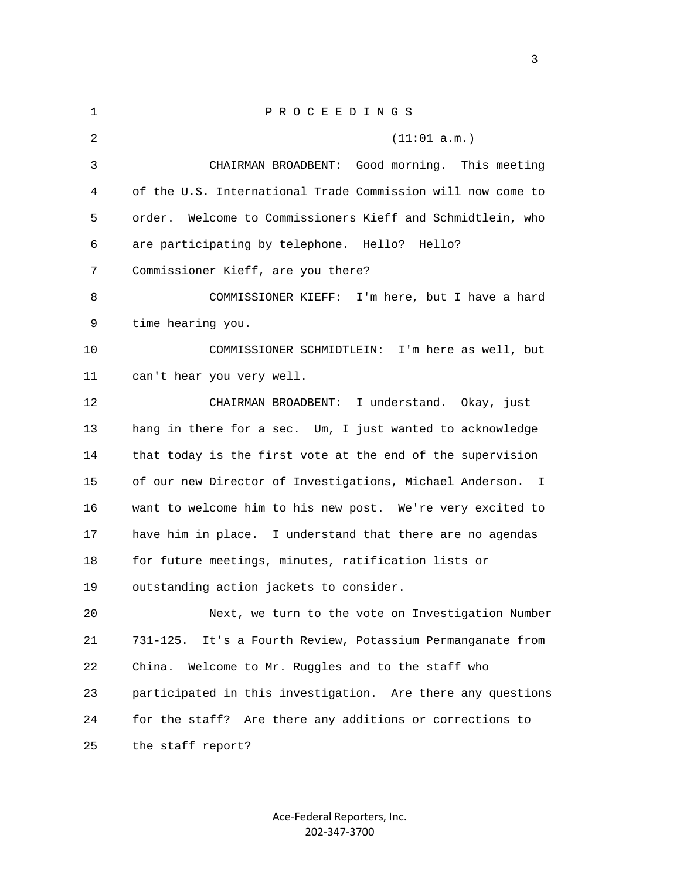| 1  | PROCEEDINGS                                                              |
|----|--------------------------------------------------------------------------|
| 2  | (11:01 a.m.)                                                             |
| 3  | CHAIRMAN BROADBENT: Good morning.<br>This meeting                        |
| 4  | of the U.S. International Trade Commission will now come to              |
| 5  | Welcome to Commissioners Kieff and Schmidtlein, who<br>order.            |
| 6  | are participating by telephone. Hello?<br>Hello?                         |
| 7  | Commissioner Kieff, are you there?                                       |
| 8  | COMMISSIONER KIEFF: I'm here, but I have a hard                          |
| 9  | time hearing you.                                                        |
| 10 | COMMISSIONER SCHMIDTLEIN: I'm here as well, but                          |
| 11 | can't hear you very well.                                                |
| 12 | CHAIRMAN BROADBENT: I understand. Okay, just                             |
| 13 | hang in there for a sec. Um, I just wanted to acknowledge                |
| 14 | that today is the first vote at the end of the supervision               |
| 15 | of our new Director of Investigations, Michael Anderson.<br>$\mathbb{I}$ |
| 16 | want to welcome him to his new post. We're very excited to               |
| 17 | have him in place. I understand that there are no agendas                |
| 18 | for future meetings, minutes, ratification lists or                      |
| 19 | outstanding action jackets to consider.                                  |
| 20 | Next, we turn to the vote on Investigation Number                        |
| 21 | It's a Fourth Review, Potassium Permanganate from<br>731-125.            |
| 22 | Welcome to Mr. Ruggles and to the staff who<br>China.                    |
| 23 | participated in this investigation. Are there any questions              |
| 24 | for the staff? Are there any additions or corrections to                 |
| 25 | the staff report?                                                        |

Ace‐Federal Reporters, Inc. 202‐347‐3700

<u>3</u>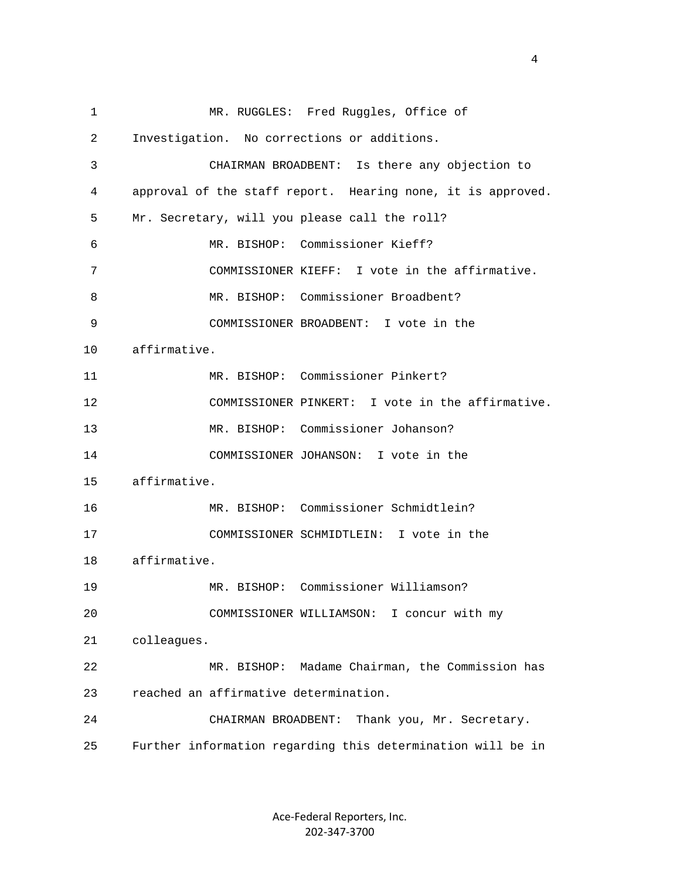1 MR. RUGGLES: Fred Ruggles, Office of 2 Investigation. No corrections or additions. 3 CHAIRMAN BROADBENT: Is there any objection to 4 approval of the staff report. Hearing none, it is approved. 5 Mr. Secretary, will you please call the roll? 6 MR. BISHOP: Commissioner Kieff? 7 COMMISSIONER KIEFF: I vote in the affirmative. 8 MR. BISHOP: Commissioner Broadbent? 9 COMMISSIONER BROADBENT: I vote in the 10 affirmative. 11 MR. BISHOP: Commissioner Pinkert? 12 COMMISSIONER PINKERT: I vote in the affirmative. 13 MR. BISHOP: Commissioner Johanson? 14 COMMISSIONER JOHANSON: I vote in the 15 affirmative. 16 MR. BISHOP: Commissioner Schmidtlein? 17 COMMISSIONER SCHMIDTLEIN: I vote in the 18 affirmative. 19 MR. BISHOP: Commissioner Williamson? 20 COMMISSIONER WILLIAMSON: I concur with my 21 colleagues. 22 MR. BISHOP: Madame Chairman, the Commission has 23 reached an affirmative determination. 24 CHAIRMAN BROADBENT: Thank you, Mr. Secretary. 25 Further information regarding this determination will be in

> Ace‐Federal Reporters, Inc. 202‐347‐3700

4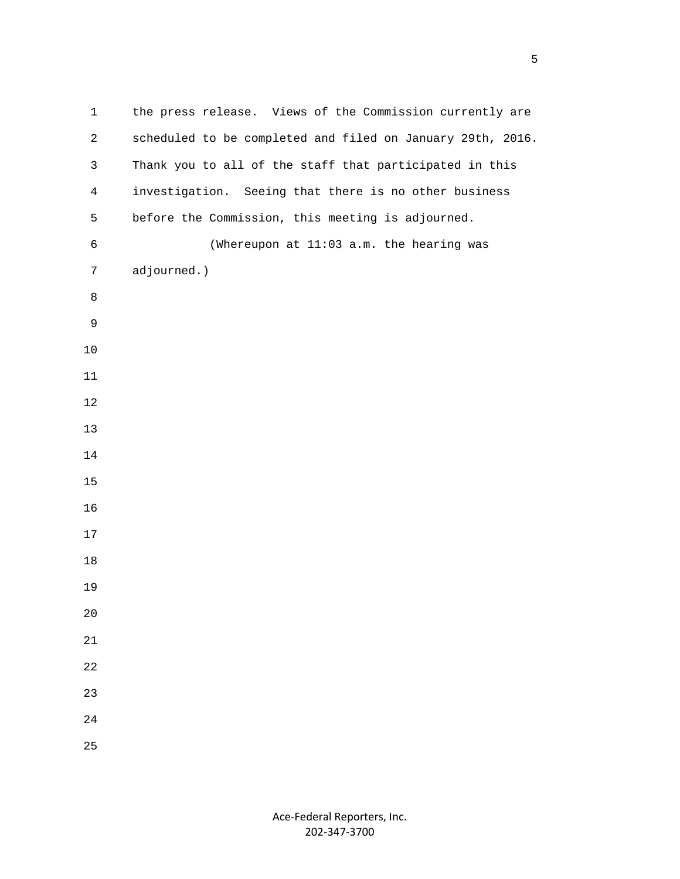| $\mathbf 1$     | the press release. Views of the Commission currently are   |
|-----------------|------------------------------------------------------------|
| $\overline{2}$  | scheduled to be completed and filed on January 29th, 2016. |
| $\mathfrak{Z}$  | Thank you to all of the staff that participated in this    |
| $\overline{4}$  | investigation. Seeing that there is no other business      |
| 5               | before the Commission, this meeting is adjourned.          |
| $\sqrt{6}$      | (Whereupon at 11:03 a.m. the hearing was                   |
| $7\phantom{.0}$ | adjourned.)                                                |
| 8               |                                                            |
| $\mathsf 9$     |                                                            |
| $10$            |                                                            |
| 11              |                                                            |
| 12              |                                                            |
| $13$            |                                                            |
| 14              |                                                            |
| 15              |                                                            |
| 16              |                                                            |
| 17              |                                                            |
| 18              |                                                            |
| 19              |                                                            |
| 20              |                                                            |
| $21\,$          |                                                            |
| 22              |                                                            |
| 23              |                                                            |
| 24              |                                                            |
| 25              |                                                            |